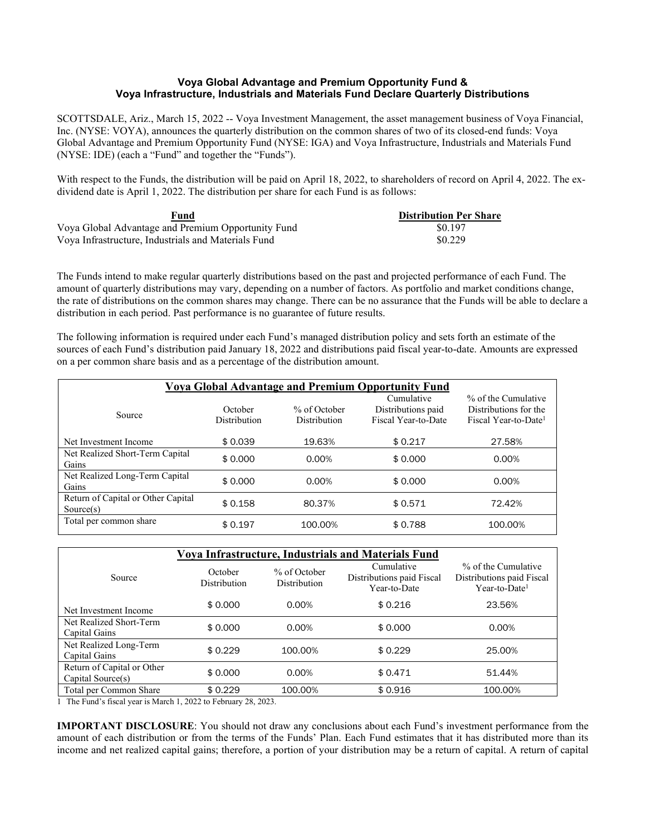# **Voya Global Advantage and Premium Opportunity Fund & Voya Infrastructure, Industrials and Materials Fund Declare Quarterly Distributions**

SCOTTSDALE, Ariz., March 15, 2022 -- Voya Investment Management, the asset management business of Voya Financial, Inc. (NYSE: VOYA), announces the quarterly distribution on the common shares of two of its closed-end funds: Voya Global Advantage and Premium Opportunity Fund (NYSE: IGA) and Voya Infrastructure, Industrials and Materials Fund (NYSE: IDE) (each a "Fund" and together the "Funds").

With respect to the Funds, the distribution will be paid on April 18, 2022, to shareholders of record on April 4, 2022. The exdividend date is April 1, 2022. The distribution per share for each Fund is as follows:

| Fund                                                | <b>Distribution Per Share</b> |
|-----------------------------------------------------|-------------------------------|
| Voya Global Advantage and Premium Opportunity Fund  | \$0.197                       |
| Vova Infrastructure. Industrials and Materials Fund | \$0.229                       |

The Funds intend to make regular quarterly distributions based on the past and projected performance of each Fund. The amount of quarterly distributions may vary, depending on a number of factors. As portfolio and market conditions change, the rate of distributions on the common shares may change. There can be no assurance that the Funds will be able to declare a distribution in each period. Past performance is no guarantee of future results.

The following information is required under each Fund's managed distribution policy and sets forth an estimate of the sources of each Fund's distribution paid January 18, 2022 and distributions paid fiscal year-to-date. Amounts are expressed on a per common share basis and as a percentage of the distribution amount.

| <b>Voya Global Advantage and Premium Opportunity Fund</b> |                                |                              |                                                         |                                                                                  |
|-----------------------------------------------------------|--------------------------------|------------------------------|---------------------------------------------------------|----------------------------------------------------------------------------------|
| Source                                                    | October<br><b>Distribution</b> | % of October<br>Distribution | Cumulative<br>Distributions paid<br>Fiscal Year-to-Date | % of the Cumulative<br>Distributions for the<br>Fiscal Year-to-Date <sup>1</sup> |
| Net Investment Income                                     | \$0.039                        | 19.63%                       | \$0.217                                                 | 27.58%                                                                           |
| Net Realized Short-Term Capital<br>Gains                  | \$0.000                        | 0.00%                        | \$0.000                                                 | $0.00\%$                                                                         |
| Net Realized Long-Term Capital<br>Gains                   | \$0.000                        | $0.00\%$                     | \$0.000                                                 | $0.00\%$                                                                         |
| Return of Capital or Other Capital<br>Source(s)           | \$0.158                        | 80.37%                       | \$0.571                                                 | 72.42%                                                                           |
| Total per common share                                    | \$0.197                        | 100.00%                      | \$0.788                                                 | 100.00%                                                                          |

| Voya Infrastructure, Industrials and Materials Fund                                                                                                                      |                                              |                                     |                                                         |                                                                               |  |
|--------------------------------------------------------------------------------------------------------------------------------------------------------------------------|----------------------------------------------|-------------------------------------|---------------------------------------------------------|-------------------------------------------------------------------------------|--|
| Source                                                                                                                                                                   | October<br>Distribution                      | % of October<br><b>Distribution</b> | Cumulative<br>Distributions paid Fiscal<br>Year-to-Date | % of the Cumulative<br>Distributions paid Fiscal<br>Year-to-Date <sup>1</sup> |  |
| Net Investment Income                                                                                                                                                    | \$0.000                                      | 0.00%                               | \$0.216                                                 | 23.56%                                                                        |  |
| Net Realized Short-Term<br>Capital Gains                                                                                                                                 | \$0.000                                      | 0.00%                               | \$0.000                                                 | 0.00%                                                                         |  |
| Net Realized Long-Term<br>Capital Gains                                                                                                                                  | \$0.229                                      | 100.00%                             | \$0.229                                                 | 25.00%                                                                        |  |
| Return of Capital or Other<br>Capital Source(s)                                                                                                                          | \$0.000                                      | 0.00%                               | \$0.471                                                 | 51.44%                                                                        |  |
| Total per Common Share<br>$\mathbf{m}$ $\mathbf{r}$ $\mathbf{u}$ $\mathbf{u}$ $\mathbf{v}$ $\mathbf{v}$ $\mathbf{v}$ $\mathbf{v}$ $\mathbf{v}$ $\mathbf{v}$ $\mathbf{v}$ | \$0.229<br>0.000<br>20.222<br>T <sub>1</sub> | 100.00%                             | \$0.916                                                 | 100.00%                                                                       |  |

1 The Fund's fiscal year is March 1, 2022 to February 28, 2023.

**IMPORTANT DISCLOSURE**: You should not draw any conclusions about each Fund's investment performance from the amount of each distribution or from the terms of the Funds' Plan. Each Fund estimates that it has distributed more than its income and net realized capital gains; therefore, a portion of your distribution may be a return of capital. A return of capital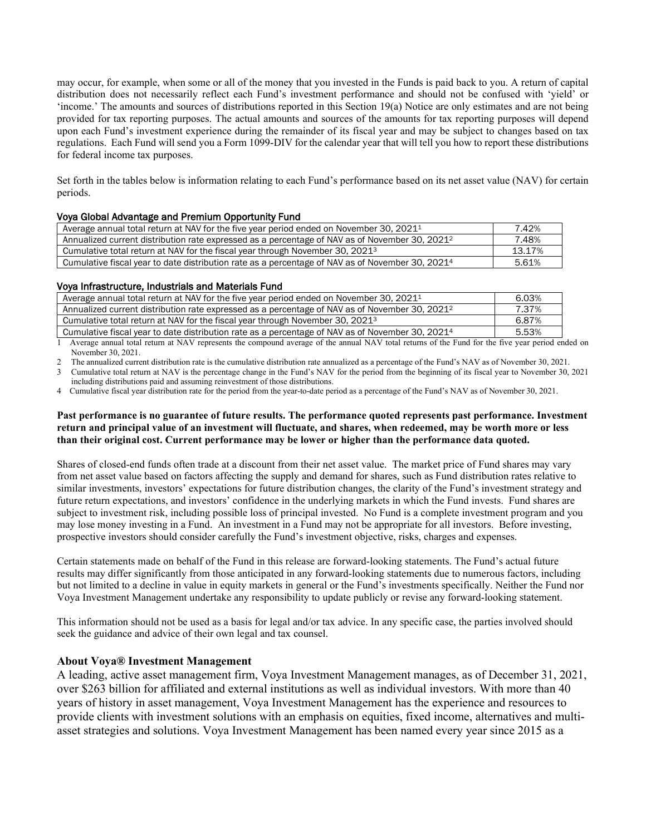may occur, for example, when some or all of the money that you invested in the Funds is paid back to you. A return of capital distribution does not necessarily reflect each Fund's investment performance and should not be confused with 'yield' or 'income.' The amounts and sources of distributions reported in this Section 19(a) Notice are only estimates and are not being provided for tax reporting purposes. The actual amounts and sources of the amounts for tax reporting purposes will depend upon each Fund's investment experience during the remainder of its fiscal year and may be subject to changes based on tax regulations. Each Fund will send you a Form 1099-DIV for the calendar year that will tell you how to report these distributions for federal income tax purposes.

Set forth in the tables below is information relating to each Fund's performance based on its net asset value (NAV) for certain periods.

### Voya Global Advantage and Premium Opportunity Fund

| 7.42%  |
|--------|
| 7.48%  |
| 13.17% |
| 5.61%  |
|        |

#### Voya Infrastructure, Industrials and Materials Fund

| Average annual total return at NAV for the five year period ended on November 30, 2021 <sup>1</sup>          | 6.03% |
|--------------------------------------------------------------------------------------------------------------|-------|
| Annualized current distribution rate expressed as a percentage of NAV as of November 30, 2021 <sup>2</sup>   | 7.37% |
| Cumulative total return at NAV for the fiscal year through November 30, 2021 <sup>3</sup>                    | 6.87% |
| Cumulative fiscal year to date distribution rate as a percentage of NAV as of November 30, 2021 <sup>4</sup> | 5.53% |

Average annual total return at NAV represents the compound average of the annual NAV total returns of the Fund for the five year period ended on November 30, 2021.

2 The annualized current distribution rate is the cumulative distribution rate annualized as a percentage of the Fund's NAV as of November 30, 2021.

3 Cumulative total return at NAV is the percentage change in the Fund's NAV for the period from the beginning of its fiscal year to November 30, 2021 including distributions paid and assuming reinvestment of those distributions.

4 Cumulative fiscal year distribution rate for the period from the year-to-date period as a percentage of the Fund's NAV as of November 30, 2021.

### **Past performance is no guarantee of future results. The performance quoted represents past performance. Investment return and principal value of an investment will fluctuate, and shares, when redeemed, may be worth more or less than their original cost. Current performance may be lower or higher than the performance data quoted.**

Shares of closed-end funds often trade at a discount from their net asset value. The market price of Fund shares may vary from net asset value based on factors affecting the supply and demand for shares, such as Fund distribution rates relative to similar investments, investors' expectations for future distribution changes, the clarity of the Fund's investment strategy and future return expectations, and investors' confidence in the underlying markets in which the Fund invests. Fund shares are subject to investment risk, including possible loss of principal invested. No Fund is a complete investment program and you may lose money investing in a Fund. An investment in a Fund may not be appropriate for all investors. Before investing, prospective investors should consider carefully the Fund's investment objective, risks, charges and expenses.

Certain statements made on behalf of the Fund in this release are forward-looking statements. The Fund's actual future results may differ significantly from those anticipated in any forward-looking statements due to numerous factors, including but not limited to a decline in value in equity markets in general or the Fund's investments specifically. Neither the Fund nor Voya Investment Management undertake any responsibility to update publicly or revise any forward-looking statement.

This information should not be used as a basis for legal and/or tax advice. In any specific case, the parties involved should seek the guidance and advice of their own legal and tax counsel.

## **About Voya® Investment Management**

A leading, active asset management firm, Voya Investment Management manages, as of December 31, 2021, over \$263 billion for affiliated and external institutions as well as individual investors. With more than 40 years of history in asset management, Voya Investment Management has the experience and resources to provide clients with investment solutions with an emphasis on equities, fixed income, alternatives and multiasset strategies and solutions. Voya Investment Management has been named every year since 2015 as a